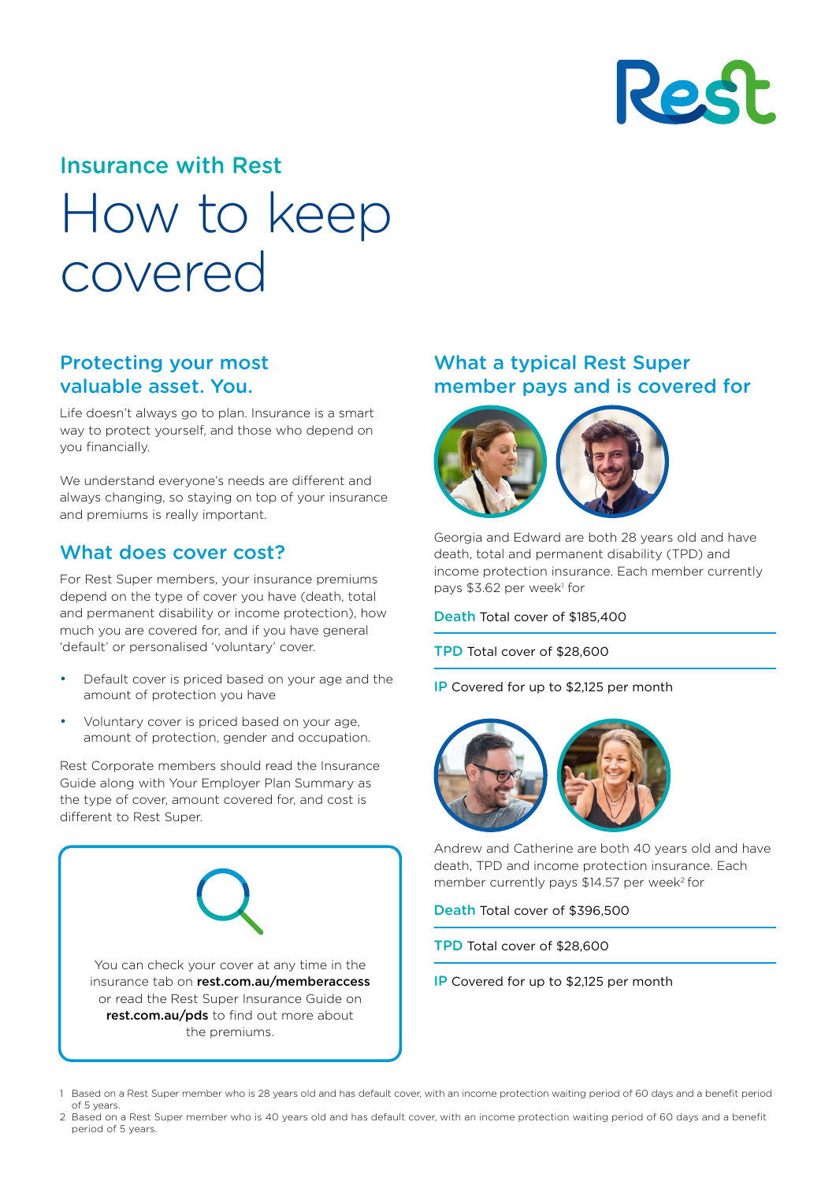

# Insurance with Rest How to keep covered

#### Protecting your most valuable asset. You.

Life doesn't always go to plan. Insurance is a smart way to protect yourself, and those who depend on you financially.

We understand everyone's needs are different and always changing, so staying on top of your insurance and premiums is really important.

#### What does cover cost?

For Rest Super members, your insurance premiums depend on the type of cover you have (death, total and permanent disability or income protection), how much you are covered for, and if you have general 'default' or personalised 'voluntary' cover.

- Default cover is priced based on your age and the amount of protection you have
- Voluntary cover is priced based on your age, amount of protection, gender and occupation.

Rest Corporate members should read the Insurance Guide along with Your Employer Plan Summary as the type of cover, amount covered for, and cost is different to Rest Super.



#### What a typical Rest Super member pays and is covered for



Georgia and Edward are both 28 years old and have death, total and permanent disability (TPD) and income protection insurance. Each member currently pays \$3.62 per week<sup>1</sup> for

Death Total cover of \$185,400

- TPD Total cover of \$28,600
- IP Covered for up to \$2,125 per month



Andrew and Catherine are both 40 years old and have death, TPD and income protection insurance. Each member currently pays \$14.57 per week<sup>2</sup> for

Death Total cover of \$396,500

- TPD Total cover of \$28,600
- IP Covered for up to \$2,125 per month

2 Based on a Rest Super member who is 40 years old and has default cover, with an income protection waiting period of 60 days and a benefit period of 5 years.

<sup>1</sup> Based on a Rest Super member who is 28 years old and has default cover, with an income protection waiting period of 60 days and a benefit period of 5 years.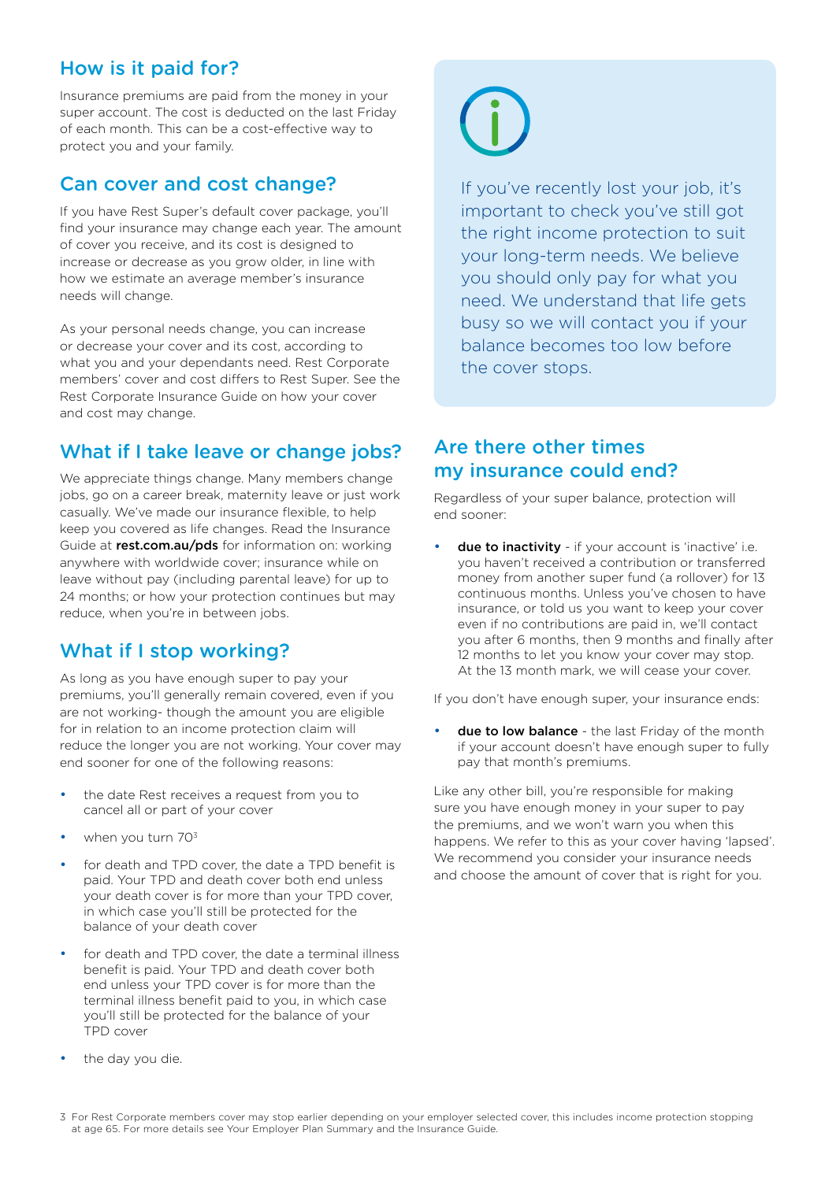#### How is it paid for?

Insurance premiums are paid from the money in your super account. The cost is deducted on the last Friday of each month. This can be a cost-effective way to protect you and your family.

#### Can cover and cost change?

If you have Rest Super's default cover package, you'll find your insurance may change each year. The amount of cover you receive, and its cost is designed to increase or decrease as you grow older, in line with how we estimate an average member's insurance needs will change.

As your personal needs change, you can increase or decrease your cover and its cost, according to what you and your dependants need. Rest Corporate members' cover and cost differs to Rest Super. See the Rest Corporate Insurance Guide on how your cover and cost may change.

#### What if I take leave or change jobs?

We appreciate things change. Many members change jobs, go on a career break, maternity leave or just work casually. We've made our insurance flexible, to help keep you covered as life changes. Read the Insurance Guide at **[rest.com.au/pds](https://rest.com.au/member/tools/product-disclosure)** for information on: working anywhere with worldwide cover; insurance while on leave without pay (including parental leave) for up to 24 months; or how your protection continues but may reduce, when you're in between jobs.

#### What if I stop working?

As long as you have enough super to pay your premiums, you'll generally remain covered, even if you are not working- though the amount you are eligible for in relation to an income protection claim will reduce the longer you are not working. Your cover may end sooner for one of the following reasons:

- the date Rest receives a request from you to cancel all or part of your cover
- when you turn 70<sup>3</sup>
- for death and TPD cover, the date a TPD benefit is paid. Your TPD and death cover both end unless your death cover is for more than your TPD cover, in which case you'll still be protected for the balance of your death cover
- for death and TPD cover, the date a terminal illness benefit is paid. Your TPD and death cover both end unless your TPD cover is for more than the terminal illness benefit paid to you, in which case you'll still be protected for the balance of your TPD cover
- the day you die.



If you've recently lost your job, it's important to check you've still got the right income protection to suit your long-term needs. We believe you should only pay for what you need. We understand that life gets busy so we will contact you if your balance becomes too low before the cover stops.

#### Are there other times my insurance could end?

Regardless of your super balance, protection will end sooner:

**due to inactivity** - if your account is 'inactive' i.e. you haven't received a contribution or transferred money from another super fund (a rollover) for 13 continuous months. Unless you've chosen to have insurance, or told us you want to keep your cover even if no contributions are paid in, we'll contact you after 6 months, then 9 months and finally after 12 months to let you know your cover may stop. At the 13 month mark, we will cease your cover.

If you don't have enough super, your insurance ends:

due to low balance - the last Friday of the month if your account doesn't have enough super to fully pay that month's premiums.

Like any other bill, you're responsible for making sure you have enough money in your super to pay the premiums, and we won't warn you when this happens. We refer to this as your cover having 'lapsed'. We recommend you consider your insurance needs and choose the amount of cover that is right for you.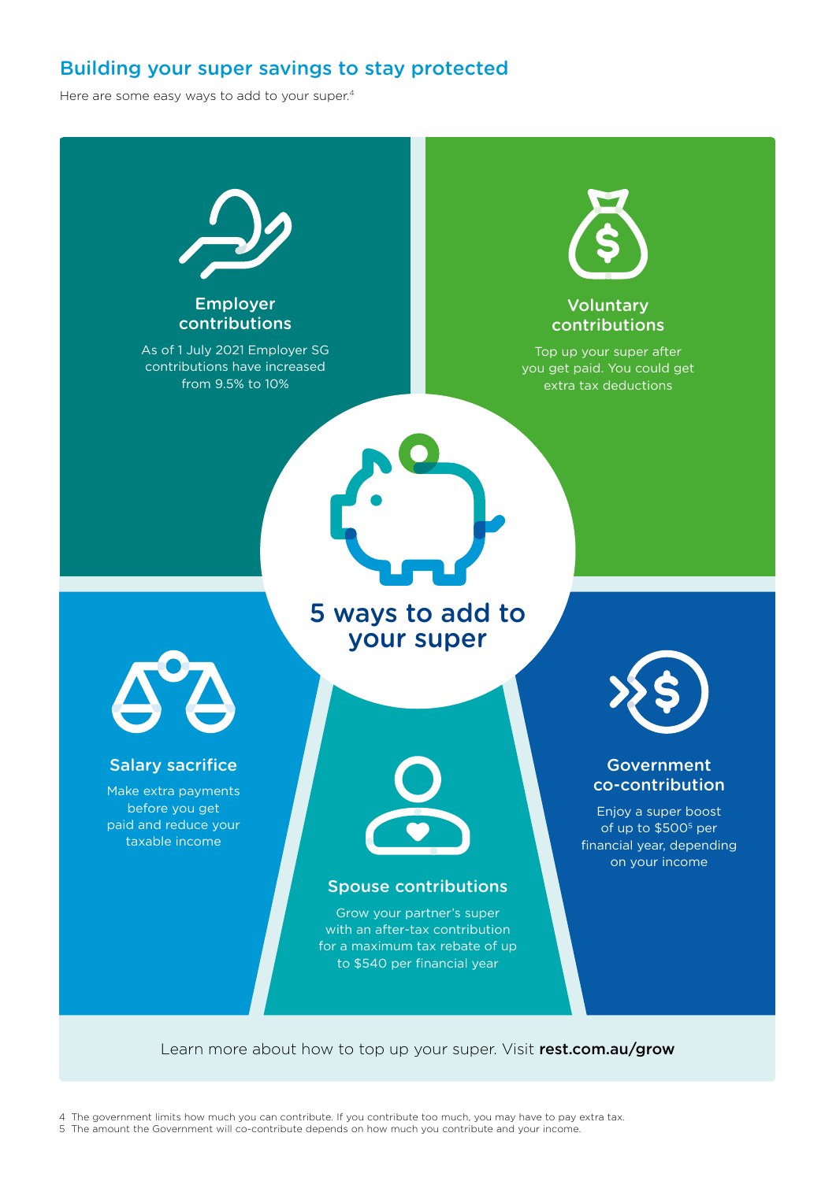#### Building your super savings to stay protected

Here are some easy ways to add to your super.<sup>4</sup>



Learn more about how to top up your super. Visit [rest.com.au/grow](https://rest.com.au/member/manage/grow-your-super)

4 The government limits how much you can contribute. If you contribute too much, you may have to pay extra tax.

5 The amount the Government will co-contribute depends on how much you contribute and your income.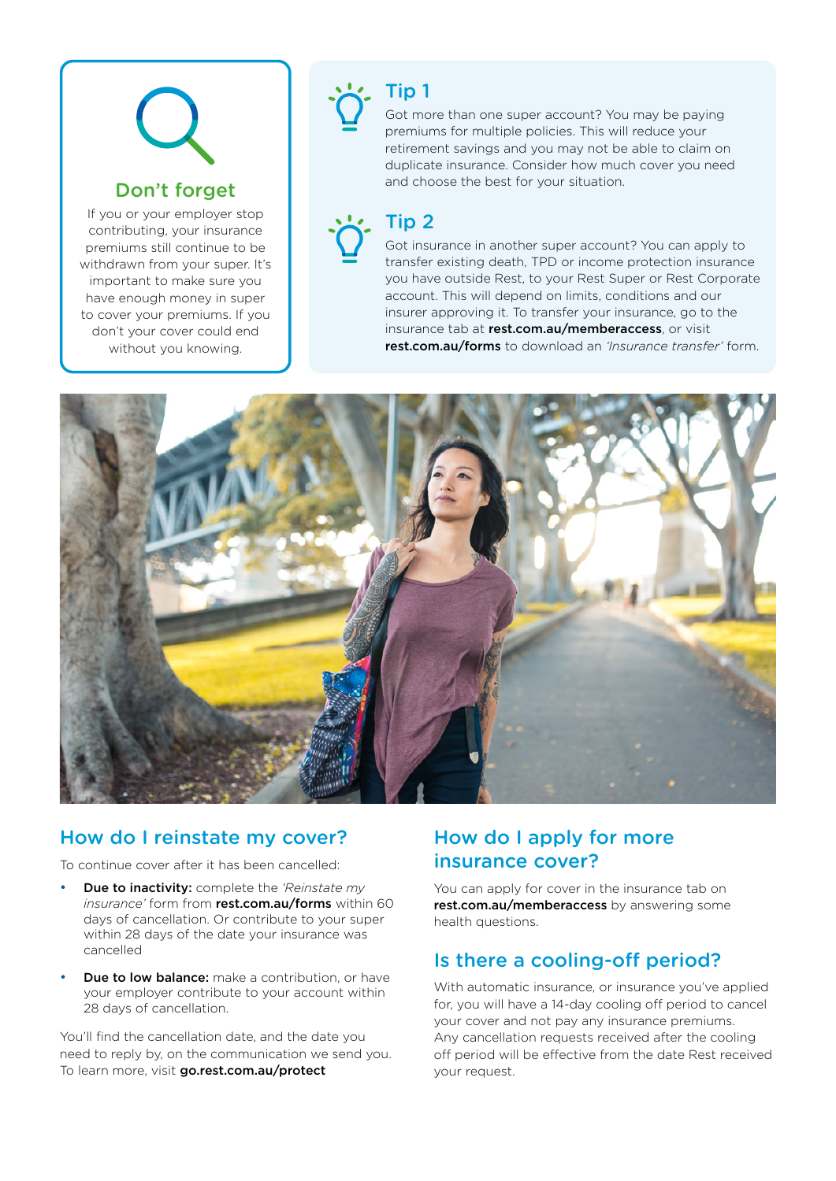### Don't forget

If you or your employer stop contributing, your insurance premiums still continue to be withdrawn from your super. It's important to make sure you have enough money in super to cover your premiums. If you don't your cover could end without you knowing.

Tip 1 Got more than one super account? You may be paying premiums for multiple policies. This will reduce your retirement savings and you may not be able to claim on duplicate insurance. Consider how much cover you need and choose the best for your situation.

# Tip 2

Got insurance in another super account? You can apply to transfer existing death, TPD or income protection insurance you have outside Rest, to your Rest Super or Rest Corporate account. This will depend on limits, conditions and our insurer approving it. To transfer your insurance, go to the insurance tab at [rest.com.au/memberaccess](https://rest.com.au/memberaccess), or visit [rest.com.au/forms](https://rest.com.au/forms) to download an *'Insurance transfer'* form.



#### How do I reinstate my cover?

To continue cover after it has been cancelled:

- Due to inactivity: complete the *'Reinstate my insurance'* form from [rest.com.au/forms](https://rest.com.au/forms) within 60 days of cancellation. Or contribute to your super within 28 days of the date your insurance was cancelled
- **Due to low balance:** make a contribution, or have your employer contribute to your account within 28 days of cancellation.

You'll find the cancellation date, and the date you need to reply by, on the communication we send you. To learn more, visit **[go.rest.com.au/protect](https://rest.com.au/member/tools/news/protecting-your-super)** 

#### How do I apply for more insurance cover?

You can apply for cover in the insurance tab on [rest.com.au/memberaccess](https://rest.com.au/super/login?modal=login) by answering some health questions.

#### Is there a cooling-off period?

With automatic insurance, or insurance you've applied for, you will have a 14-day cooling off period to cancel your cover and not pay any insurance premiums. Any cancellation requests received after the cooling off period will be effective from the date Rest received your request.